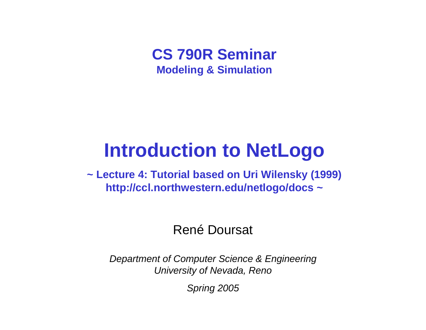#### **CS 790R Seminar Modeling & Simulation**

# **Introduction to NetLogo**

**~ Lecture 4: Tutorial based on Uri Wilensky (1999) http://ccl.northwestern.edu/netlogo/docs ~**

#### René Doursat

*Department of Computer Science & Engineering University of Nevada, Reno*

*Spring 2005*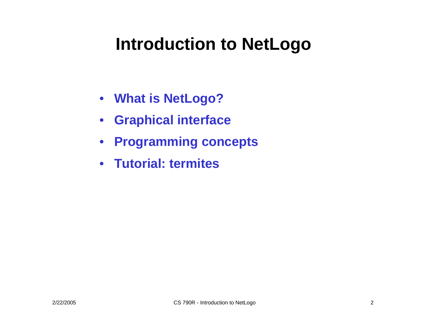## **Introduction to NetLogo**

- **What is NetLogo?**
- **Graphical interface**
- **Programming concepts**
- **Tutorial: termites**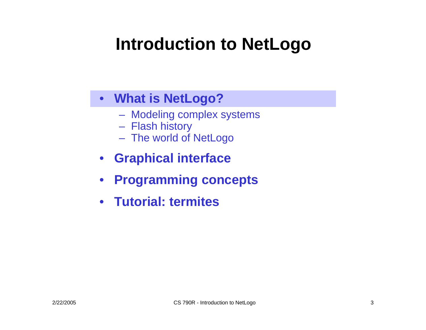## **Introduction to NetLogo**

#### • **What is NetLogo?**

- Modeling complex systems
- Flash history
- The world of NetLogo
- **Graphical interface**
- $\bullet$ **Programming concepts**
- **Tutorial: termites**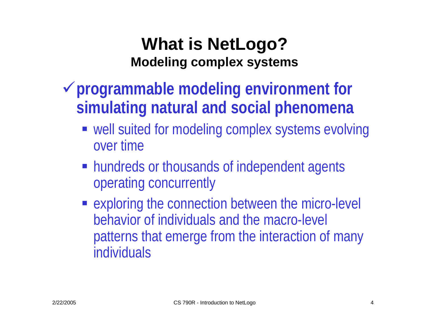### **What is NetLogo? Modeling complex systems**

- <sup>9</sup>**programmable modeling environment for simulating natural and social phenomena**
	- well suited for modeling complex systems evolving over time
	- **hundreds or thousands of independent agents** operating concurrently
	- **Exploring the connection between the micro-level** behavior of individuals and the macro-level patterns that emerge from the interaction of many individuals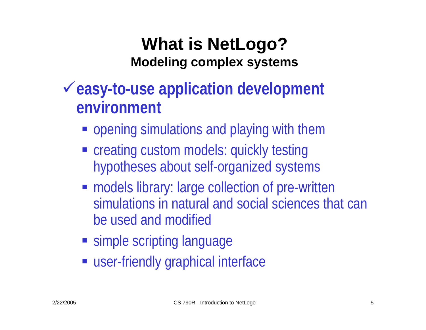### **What is NetLogo? Modeling complex systems**

- <sup>9</sup>**easy-to-use application development environment**
	- **opening simulations and playing with them**
	- creating custom models: quickly testing hypotheses about self-organized systems
	- **models library: large collection of pre-written** simulations in natural and social sciences that can be used and modified
	- **Simple scripting language**
	- **Exergence is user-friendly graphical interface**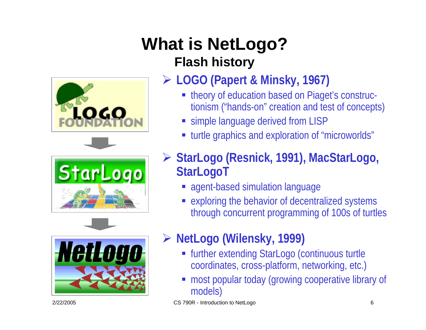### **What is NetLogo? Flash history**







### ¾ **LOGO (Papert & Minsky, 1967)**

- theory of education based on Piaget's constructionism ("hands-on" creation and test of concepts)
- simple language derived from LISP
- turtle graphics and exploration of "microworlds"
- ¾ **StarLogo (Resnick, 1991), MacStarLogo, StarLogoT**
	- agent-based simulation language
	- exploring the behavior of decentralized systems through concurrent programming of 100s of turtles
- ¾ **NetLogo (Wilensky, 1999)**
	- further extending StarLogo (continuous turtle coordinates, cross-platform, networking, etc.)
	- most popular today (growing cooperative library of models)

2/22/2005 CS 790R - Introduction to NetLogo 6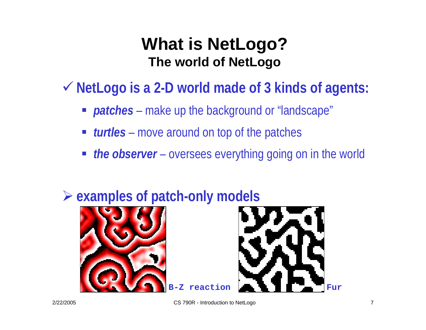### **What is NetLogo? The world of NetLogo**

9 **NetLogo is a 2-D world made of 3 kinds of agents:**

- *patches*  – make up the background or "landscape"
- *turtles* move around on top of the patches
- **the observer** oversees everything going on in the world



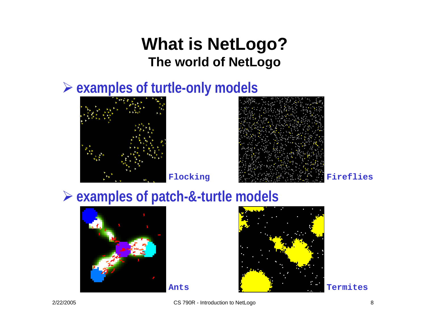### **What is NetLogo? The world of NetLogo**

### ¾ **examples of turtle-only models**





### ¾ **examples of patch-&-turtle models**





**Termites**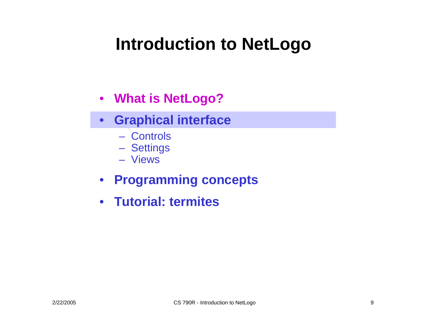## **Introduction to NetLogo**

- **What is NetLogo?**
- **Graphical interface**
	- Controls
	- Settings
	- Vie w s
- **Programming concepts**
- **Tutorial: termites**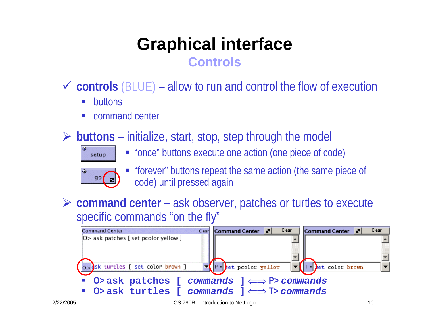### **Graphical interface Controls**

9 **controls** (BLUE) – allow to run and control the flow of execution

- $\mathcal{L}_{\mathcal{A}}$ buttons
- command center
- ¾ **buttons** –– initialize, start, stop, step through the model



"once" buttons execute one action (one piece of code)



- "forever" buttons repeat the same action (the same piece of code) until pressed again
- ¾ **command center** ask observer, patches or turtles to execute specific commands "on the fly"

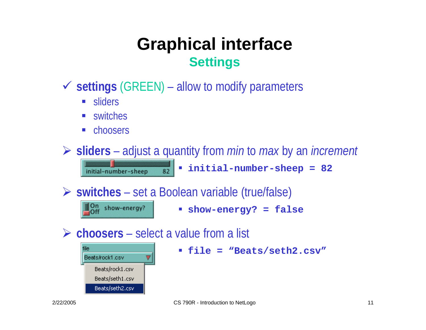### **Graphical interface Settings**

- 9 **settings** (GREEN) – allow to modify parameters
	- **Sliders**
	- switches
	- choosers

initial-number-sheep

On show-energy?

¾ **sliders** –adjust a quantity from *min* to *max* by an *increment*

**initial-number-sheep = 82**

¾ **switches** – set a Boolean variable (true/false)

82

П **show-energy? = false**

**► choosers** – select a value from a list



**file = "Beats/seth2.csv"**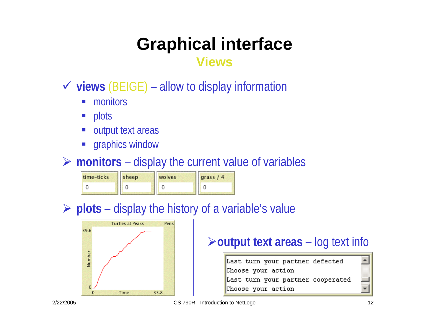# **Graphical interface**

#### **Views**

- 9 **views** (BEIGE) – allow to display information
	- $\mathcal{L}^{\text{max}}$ monitors
	- plots
	- output text areas
	- **Service Service** graphics window

#### ¾ **monitors** – display the current value of variables

| time-ticks | sheep | wolves | grass $/4$ |
|------------|-------|--------|------------|
|            |       |        |            |

#### ¾ **plots** – display the history of a variable's value



#### ¾**output text areas** –– log text info

Last turn your partner defected Choose your action Last turn your partner cooperated Choose your action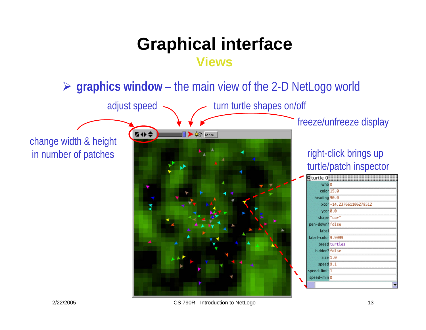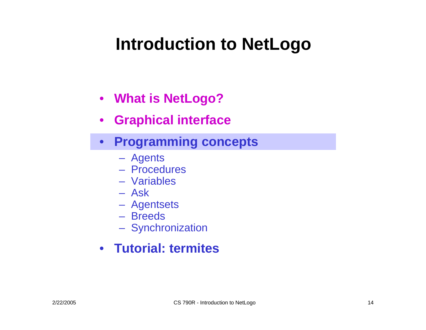## **Introduction to NetLogo**

- **What is NetLogo?**
- $\bullet$ **Graphical interface**
- **Programming concepts**
	- Agents
	- Procedures
	- –Variables
	- Ask
	- Agentsets
	- –Breeds
	- Synchronization
- **Tutorial: termites**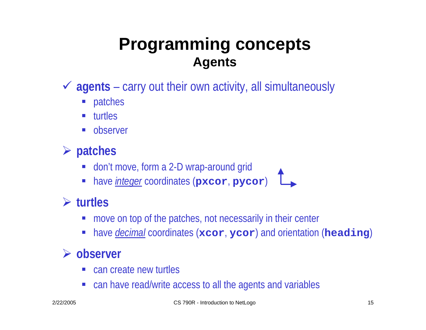### **Programming concepts Agents**

- 9 **agents**  – carry out their own activity, all simultaneously
	- patches
	- turtles
	- observer
- ¾ **patches**
	- don't move, form a 2-D wrap-around grid
	- have *integer* coordinates (**pxcor**, **pycor** )

#### ¾ **turtles**

- move on top of the patches, not necessarily in their center
- have *decimal* coordinates (**xcor**, **ycor**) and orientation (**heading**)

#### ¾ **observer**

- can create new turtles
- can have read/write access to all the agents and variables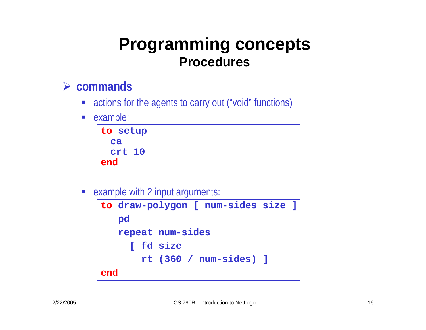### **Programming concepts Procedures**

#### ¾ **commands**

- actions for the agents to carry out ("void" functions)
- $\mathcal{L}^{\text{max}}$ example:



example with 2 input arguments:

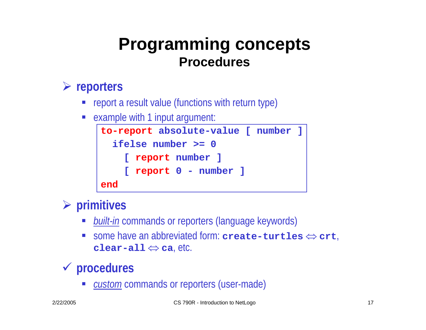### **Programming concepts Procedures**

#### ¾ **reporters**

- **•** report a result value (functions with return type)
- **Service Service** example with 1 input argument:



#### ¾ **primitives**

- *built-in* commands or reporters (language keywords)
- $\mathcal{L}^{\mathcal{L}}$ ■ some have an abbreviated form: **create-turtles**  $\Leftrightarrow$  **crt**, **clear-all**⇔ **ca**, etc.

#### 9 **procedures**

■ *custom* commands or reporters (user-made)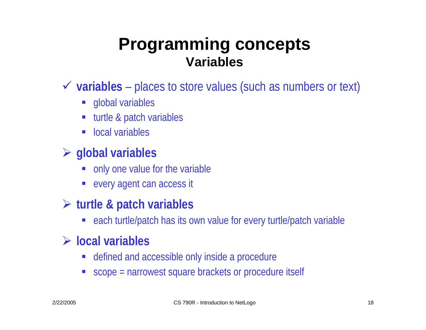### **Programming concepts Variables**

- $\checkmark$  **variables** − places to store values (such as numbers or text)
	- **global variables**
	- **Service Service** turtle & patch variables
	- local variables

#### ¾ **global variables**

- only one value for the variable
- every agent can access it

#### ¾ **turtle & patch variables**

each turtle/patch has its own value for every turtle/patch variable

#### ¾ **local variables**

- defined and accessible only inside a procedure
- scope = narrowest square brackets or procedure itself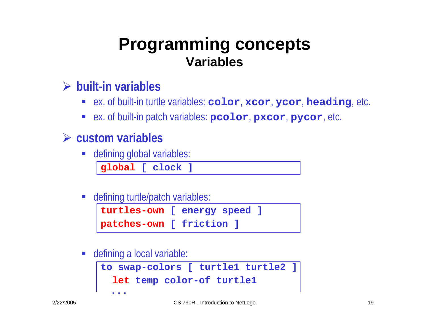### **Programming concepts Variables**

#### ¾ **built-in variables**

- ex. of built-in turtle variables: **color**, **xcor**, **ycor**, **heading**, etc.
- ex. of built-in patch variables: **pcolor**, **pxcor**, **pycor**, etc.

#### ¾ **custom variables**

defining global variables:

**global [ clock ]**

defining turtle/patch variables:

```
turtles-own [ energy speed ]
patches-own [ friction ]
```
defining a local variable:

```
to swap-colors [ turtle1 turtle2 ]
  let temp color-of turtle1
  ...
```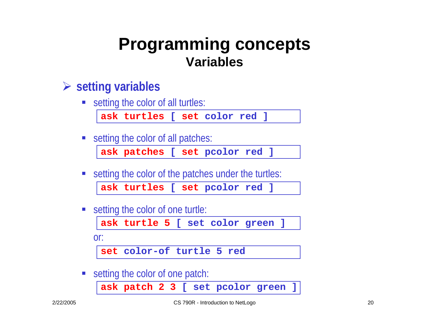### **Programming concepts Variables**

#### ¾ **setting variables**

■ setting the color of all turtles:

**ask turtles [ set color red ]**

■ setting the color of all patches:

**ask patches [ set pcolor red ]**

setting the color of the patches under the turtles:

**ask turtles [ set pcolor red ]**

■ setting the color of one turtle:

**ask turtle 5 [ set color green ]**

or:

**set color-of turtle 5 red**

**Setting the color of one patch:** 

**ask patch 2 3 [ set pcolor green ]**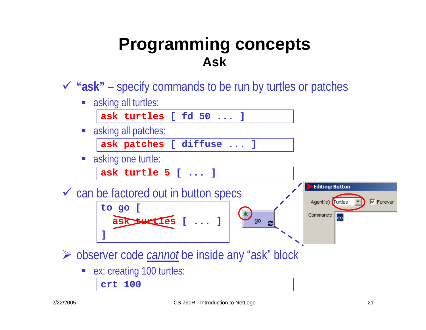### **Programming concepts Ask**

9 **"ask"** – specify commands to be run by turtles or patches

**Example 13 asking all turtles:** 

**ask turtles [ fd 50 ... ]**

**Example 2** asking all patches:

**ask patches [ diffuse ... ]**

asking one turtle:

**ask turtle 5 [ ... ]**

 $\checkmark$  can be factored out in button specs

**to go [ ask turtles[ ... ]**



¾ observer code *cannot* be inside any "ask" block

ex: creating 100 turtles:

**crt 100**

**]**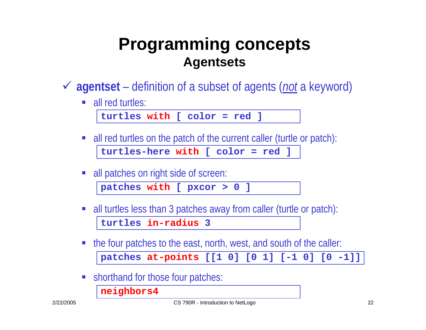### **Programming concepts Agentsets**

- 9 **agentset**  – definition of a subset of agents (*not* a keyword)
	- all red turtles:

```
turtles with [ color = red ]
```
- all red turtles on the patch of the current caller (turtle or patch): **turtles-here with [ color = red ]**
- all patches on right side of screen:

**patches with [ pxcor > 0 ]**

- $\mathcal{L}_{\mathcal{A}}$  all turtles less than 3 patches away from caller (turtle or patch): **turtles in-radius3**
- the four patches to the east, north, west, and south of the caller: **patches at-points [[1 0] [0 1] [-1 0] [0 -1]]**
- **Shorthand for those four patches:**

**neighbors4**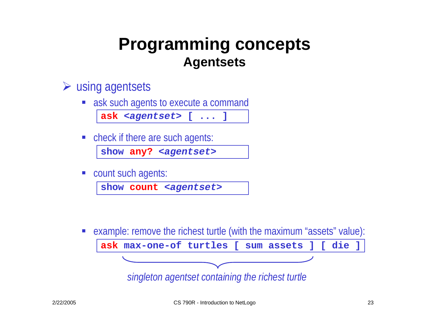### **Programming concepts Agentsets**

#### $\triangleright$  using agentsets

**ask such agents to execute a command** 

**ask** *<agentset>* **[ ... ]**

■ check if there are such agents:

show any? <agentset>

**Count such agents:** 

**show count** *<agentset>*

example: remove the richest turtle (with the maximum "assets" value):

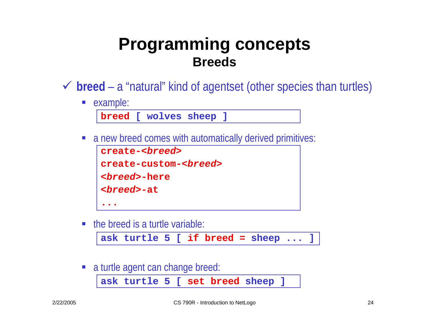### **Programming concepts Breeds**

- 9 **breed**  <sup>a</sup>"natural" kind of agentset (other species than turtles)
	- **E** example:

**breed [ wolves sheep ]**

a new breed comes with automatically derived primitives:

```
create-<breed>create-custom-<breed>
<breed>-here<breed>-at
...
```
 $\blacksquare$  the breed is a turtle variable:

```
ask turtle 5 [ if breed = sheep ... ]
```
 $\mathcal{L}_{\mathcal{A}}$ a turtle agent can change breed:

```
ask turtle 5 [ set breed sheep ]
```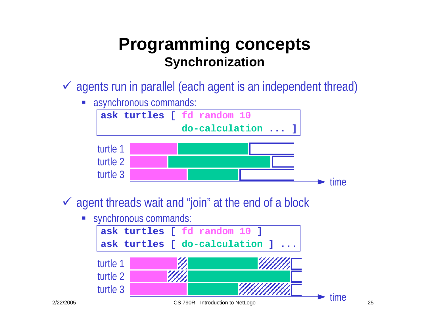### **Programming concepts Synchronization**

- $\checkmark$  agents run in parallel (each agent is an independent thread)
	- asynchronous commands:



- $\checkmark$  agent threads wait and "join" at the end of a block
	- **Synchronous commands:**

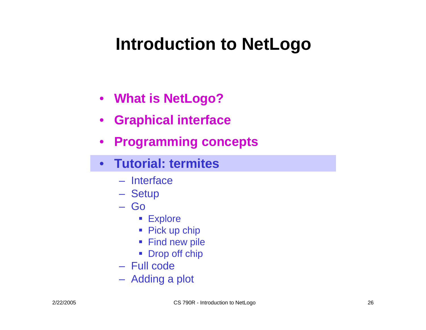## **Introduction to NetLogo**

- **What is NetLogo?**
- $\bullet$ **Graphical interface**
- $\bullet$ **Programming concepts**
- $\bullet$  **Tutorial: termites**
	- Interface
	- Setup
	- Go
		- **Explore**
		- Pick up chip
		- Find new pile
		- Drop off chip
	- Full code
	- Adding a plot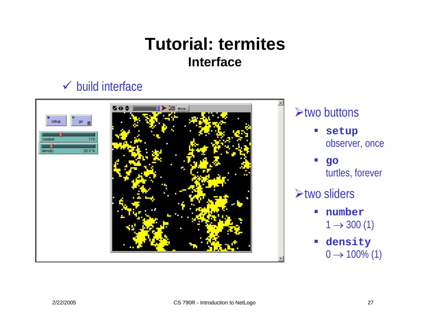### **Tutorial: termitesInterface**

#### $\checkmark$  build interface

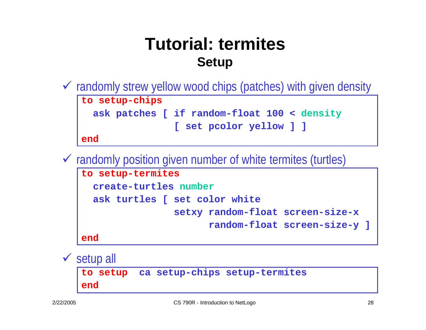### **Tutorial: termitesSetup**

 $\checkmark$  randomly strew yellow wood chips (patches) with given density

**to setup-chips ask patches [ if random-float 100 < density [ set pcolor yellow ] ]**

**end**

 $\checkmark$  randomly position given number of white termites (turtles)

```
to setup-termites
  create-turtles numberask turtles [ set color white
                setxy random-float screen-size-x
                      random-float screen-size-y ]
end
```
 $\checkmark$  setup all **to setup ca setup-chips setup-termites end**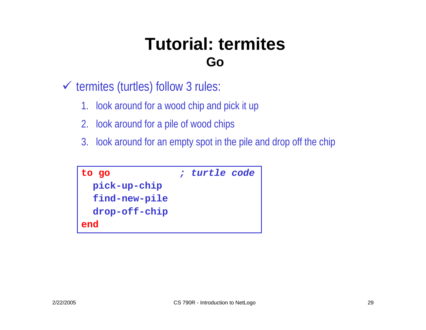### **Tutorial: termitesGo**

- $\checkmark$  termites (turtles) follow 3 rules:
	- 1. look around for a wood chip and pick it up
	- 2. look around for a pile of wood chips
	- 3. look around for an empty spot in the pile and drop off the chip

```
to go ; turtle code
 pick-up-chip
 find-new-pile
 drop-off-chip
end
```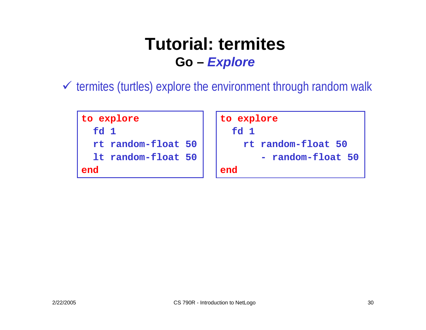### **Tutorial: termitesGo –** *Explore*

 $\checkmark$  termites (turtles) explore the environment through random walk

```
to explore \vert to explore
 fd 1 fd 1 rt random-float 50 rt random-float 50
 1t random-float 50
end end
```
**random-float 50**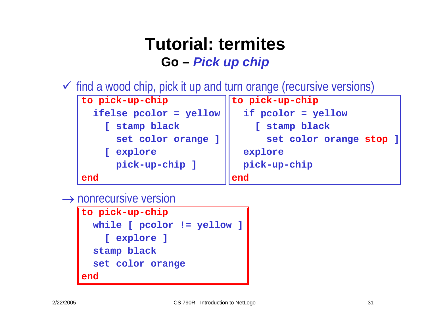### **Tutorial: termitesGo –** *Pick up chip*

 $\checkmark$  find a wood chip, pick it up and turn orange (recursive versions)



 $\rightarrow$  nonrecursive version

```
to pick-up-chip
 while [ pcolor != yellow ]
    [ explore ]
  stamp black
  set color orange
end
```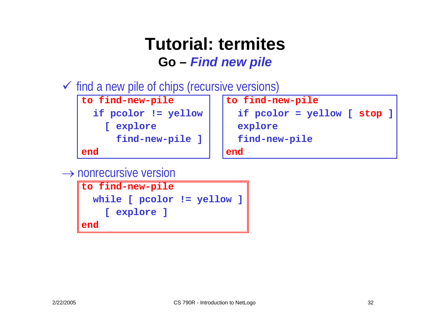### **Tutorial: termitesGo –** *Find new pile*

 $\checkmark$  find a new pile of chips (recursive versions)

```
to find-new-pile \vert to find-new-pile
   [ explore \vert | explore
```
**find-new-pile ] find-new-pile** 

**end end**

```
if pcolor != yellow if pcolor = yellow [ stop ]
```
 $\rightarrow$  nonrecursive version

```
to find-new-pile
 while [ pcolor != yellow ]
    [ explore ]
end
```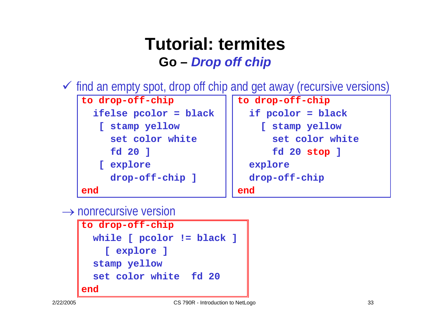### **Tutorial: termitesGo –** *Drop off chip*

 $\checkmark$  find an empty spot, drop off chip and get away (recursive versions)



#### $\rightarrow$  nonrecursive version

```
to drop-off-chip
 while [ pcolor != black ]
    [ explore ]
  stamp yellow
  set color white fd 20end
```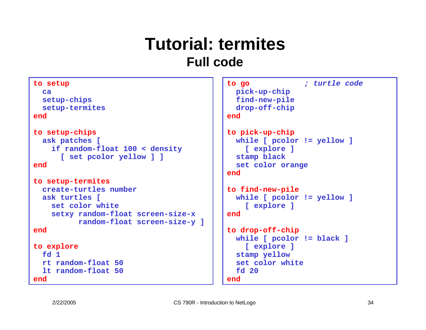### **Tutorial: termitesFull code**

```
to setup
  ca setup-chips 
  setup-termites
endto setup-chips
  ask patches [
    if random-float 100 < density 
      [ set pcolor yellow ] ]
endto setup-termites
  create-turtles numberask turtles [
    set color whitesetxy random-float screen-size-x
          random-float screen-size-y ]
endto explore
  fd 1rt random-float 50lt random-float 50end
```

```
to go ; turtle code
 pick-up-chip 
 find-new-pile 
 drop-off-chip
end
```

```
to pick-up-chip
  while [ pcolor != yellow ]
    [ explore ]
  stamp black
  set color orange
end
```

```
to find-new-pile
  while [ pcolor != yellow ]
    [ explore ]
end
```

```
to drop-off-chip
 while [ pcolor != black ]
    [ explore ]
  stamp yellow
  set color whitefd 20end
```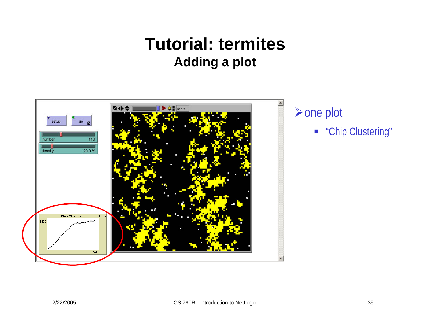### **Tutorial: termitesAdding a plot**

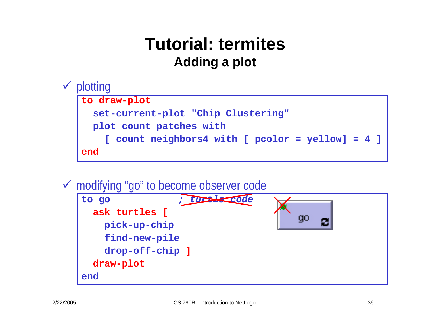### **Tutorial: termitesAdding a plot**

#### $\checkmark$  plotting **to draw-plot set-current-plot "Chip Clustering" plot count patches with [ count neighbors4 with [ pcolor = yellow] = 4 ] end**

#### ◆ modifying "go" to become observer code